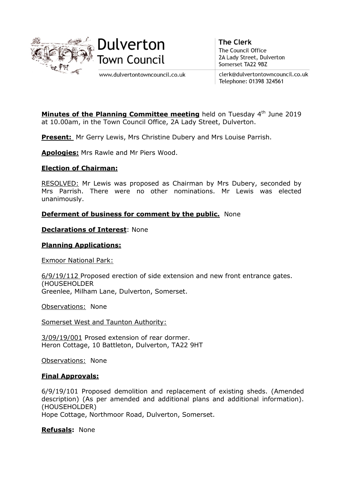



www.dulvertontowncouncil.co.uk

**The Clerk** The Council Office 2A Lady Street, Dulverton Somerset TA22 9BZ

clerk@dulvertontowncouncil.co.uk Telephone: 01398 324561

Minutes of the Planning Committee meeting held on Tuesday 4<sup>th</sup> June 2019 at 10.00am, in the Town Council Office, 2A Lady Street, Dulverton.

**Present:** Mr Gerry Lewis, Mrs Christine Dubery and Mrs Louise Parrish.

Apologies: Mrs Rawle and Mr Piers Wood.

#### Election of Chairman:

RESOLVED: Mr Lewis was proposed as Chairman by Mrs Dubery, seconded by Mrs Parrish. There were no other nominations. Mr Lewis was elected unanimously.

### Deferment of business for comment by the public. None

**Declarations of Interest: None** 

## Planning Applications:

Exmoor National Park:

6/9/19/112 Proposed erection of side extension and new front entrance gates. (HOUSEHOLDER Greenlee, Milham Lane, Dulverton, Somerset.

Observations: None

Somerset West and Taunton Authority:

3/09/19/001 Prosed extension of rear dormer. Heron Cottage, 10 Battleton, Dulverton, TA22 9HT

Observations: None

#### Final Approvals:

6/9/19/101 Proposed demolition and replacement of existing sheds. (Amended description) (As per amended and additional plans and additional information). (HOUSEHOLDER) Hope Cottage, Northmoor Road, Dulverton, Somerset.

Refusals: None